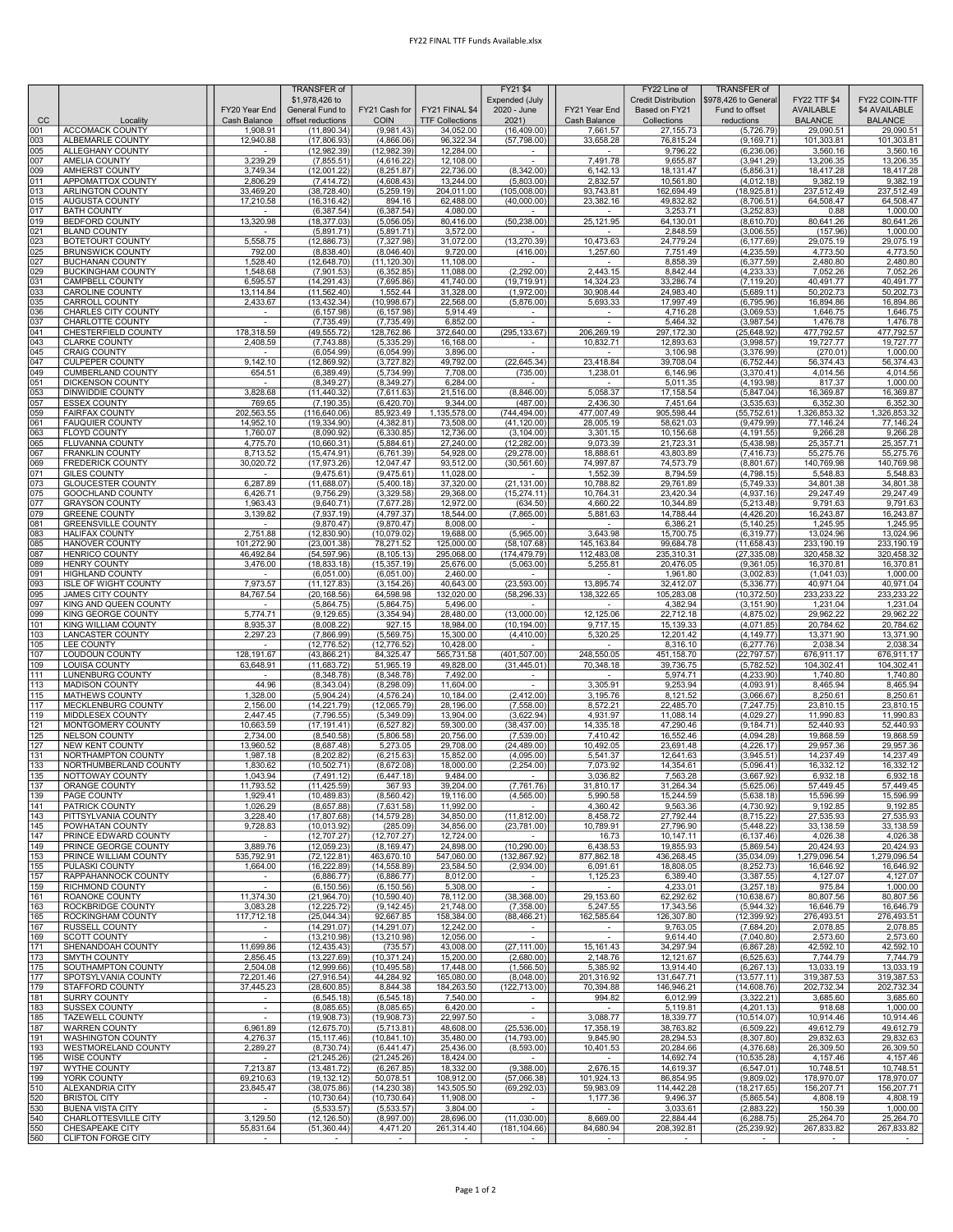## FY22 FINAL TTF Funds Available.xlsx

|            |                                                     |                                            | <b>TRANSFER of</b>                |                             |                         | FY21 \$4                       |                                       | FY22 Line of                                | TRANSFER of                            |                                  |                                |
|------------|-----------------------------------------------------|--------------------------------------------|-----------------------------------|-----------------------------|-------------------------|--------------------------------|---------------------------------------|---------------------------------------------|----------------------------------------|----------------------------------|--------------------------------|
|            |                                                     | FY20 Year End                              | \$1,978,426 to<br>General Fund to | FY21 Cash for               | FY21 FINAL \$4          | Expended (July<br>2020 - June  | FY21 Year End                         | <b>Credit Distribution</b><br>Based on FY21 | \$978,426 to General<br>Fund to offset | <b>FY22 TTF \$4</b><br>AVAILABLE | FY22 COIN-TTF<br>\$4 AVAILABLE |
| cc         | Locality                                            | Cash Balance                               | offset reductions                 | <b>COIN</b>                 | <b>TTF Collections</b>  | 2021)                          | Cash Balance                          | Collections                                 | reductions                             | <b>BALANCE</b>                   | <b>BALANCE</b>                 |
| 001        | <b>ACCOMACK COUNTY</b>                              | 1,908.91                                   | (11, 890.34)                      | (9,981.43)                  | 34,052.00               | (16, 409.00)                   | 7,661.57                              | 27, 155.73                                  | (5, 726.79)                            | 29,090.51                        | 29,090.51                      |
| 003<br>005 | <b>ALBEMARLE COUNTY</b><br>ALLEGHANY COUNTY         | 12,940.88<br>$\overline{\phantom{a}}$      | (17,806.93)<br>(12,982.39)        | (4,866.06)<br>(12,982.39)   | 96,322.34<br>12,284.00  | (57, 798.00)<br>٠              | 33,658.28                             | 76,815.24<br>9,796.22                       | (9, 169.71)<br>(6, 236.06)             | 101,303.81<br>3,560.16           | 101,303.81<br>3,560.16         |
| 007        | AMELIA COUNTY                                       | 3,239.29                                   | (7,855.51)                        | (4,616.22)                  | 12,108.00               | $\sim$                         | 7,491.78                              | 9,655.87                                    | (3,941.29)                             | 13,206.35                        | 13,206.35                      |
| 009<br>011 | AMHERST COUNTY<br>APPOMATTOX COUNTY                 | 3,749.34<br>2,806.29                       | (12,001.22)<br>(7, 414.72)        | (8,251.87)<br>(4,608.43)    | 22,736.00<br>13,244.00  | (8,342.00)<br>(5,803.00)       | 6,142.13<br>2,832.57                  | 18,131.47<br>10,561.80                      | (5,856.31)<br>(4,012.18)               | 18,417.28<br>9,382.19            | 18,417.28<br>9,382.19          |
| 013        | ARLINGTON COUNTY                                    | 33,469.20                                  | (38, 728.40)                      | (5,259.19)                  | 204,011.00              | (105,008.00)                   | 93,743.81                             | 162,694.49                                  | (18, 925.81)                           | 237,512.49                       | 237,512.49                     |
| 015        | AUGUSTA COUNTY                                      | 17,210.58                                  | (16, 316.42)                      | 894.16                      | 62,488.00               | (40,000.00)                    | 23,382.16                             | 49,832.82                                   | (8,706.51)                             | 64,508.47                        | 64,508.47                      |
| 017<br>019 | <b>BATH COUNTY</b><br>BEDFORD COUNTY                | 13,320.98                                  | (6,387.54)<br>(18, 377.03)        | (6, 387.54)<br>(5,056.05)   | 4,080.00<br>80,416.00   | (50, 238.00)                   | 25,121.95                             | 3,253.71<br>64,130.01                       | (3,252.83)<br>(8,610.70)               | 0.88<br>80,641.26                | 1,000.00<br>80,641.26          |
| 021        | <b>BLAND COUNTY</b>                                 | $\blacksquare$                             | (5,891.71)                        | (5,891.71)                  | 3,572.00                | $\overline{\phantom{a}}$       |                                       | 2,848.59                                    | (3,006.55)                             | (157.96)                         | 1,000.00                       |
| 023<br>025 | BOTETOURT COUNTY<br><b>BRUNSWICK COUNTY</b>         | 5,558.75<br>792.00                         | (12.886.73)<br>(8,838.40)         | (7,327.98)<br>(8,046.40)    | 31,072.00<br>9,720.00   | (13,270.39)<br>(416.00)        | 10,473.63<br>1,257.60                 | 24,779.24<br>7,751.49                       | (6, 177.69)<br>(4, 235.59)             | 29,075.19<br>4,773.50            | 29,075.19<br>4,773.50          |
| 027        | <b>BUCHANAN COUNTY</b>                              | 1,528.40                                   | (12, 648.70)                      | (11, 120.30)                | 11,108.00               | $\overline{a}$                 |                                       | 8,858.39                                    | (6, 377.59)                            | 2,480.80                         | 2,480.80                       |
| 029        | <b>BUCKINGHAM COUNTY</b>                            | 1,548.68                                   | (7,901.53)                        | (6,352.85)                  | 11.088.00               | (2,292.00)                     | 2,443.15                              | 8,842.44                                    | (4, 233.33)                            | 7,052.26                         | 7,052.26                       |
| 031<br>033 | CAMPBELL COUNTY<br>CAROLINE COUNTY                  | 6,595.57<br>13,114.84                      | (14, 291.43)<br>(11, 562.40)      | (7,695.86)<br>1,552.44      | 41,740.00<br>31,328.00  | (19,719.91)<br>(1,972.00)      | 14,324.23<br>30,908.44                | 33,286.74<br>24,983.40                      | (7, 119.20)<br>(5,689.11)              | 40,491.77<br>50,202.73           | 40,491.77<br>50,202.73         |
| 035        | CARROLL COUNTY                                      | 2,433.67                                   | (13, 432.34)                      | (10,998.67)                 | 22,568.00               | (5,876.00)                     | 5,693.33                              | 17,997.49                                   | (6,795.96)                             | 16,894.86                        | 16,894.86                      |
| 036<br>037 | CHARLES CITY COUNTY<br>CHARLOTTE COUNTY             | $\sim$                                     | (6, 157.98)<br>(7,735.49)         | (6, 157.98)<br>(7, 735.49)  | 5,914.49<br>6,852.00    | $\sim$                         |                                       | 4,716.28<br>5,464.32                        | (3,069.53)<br>(3,987.54)               | 1,646.75<br>1,476.78             | 1,646.75<br>1,476.78           |
| 041        | CHESTERFIELD COUNTY                                 | 178,318.59                                 | (49, 555.72)                      | 128,762.86                  | 372,640.00              | (295, 133.67)                  | 206,269.19                            | 297,172.30                                  | (25, 648.92)                           | 477,792.57                       | 477,792.57                     |
| 043        | <b>CLARKE COUNTY</b>                                | 2,408.59                                   | (7,743.88)                        | (5, 335.29)                 | 16,168.00               | $\sim$                         | 10,832.71                             | 12,893.63                                   | (3,998.57)                             | 19,727.77                        | 19,727.77                      |
| 045<br>047 | <b>CRAIG COUNTY</b><br><b>CULPEPER COUNTY</b>       | ٠<br>9,142.10                              | (6,054.99)<br>(12,869.92)         | (6,054.99)<br>(3,727.82)    | 3,896.00<br>49,792.00   | $\sim$<br>(22, 645.34)         | $\overline{\phantom{a}}$<br>23,418.84 | 3,106.98<br>39,708.04                       | (3,376.99)<br>(6, 752.44)              | (270.01)<br>56,374.43            | 1,000.00<br>56,374.43          |
| 049        | CUMBERLAND COUNTY                                   | 654.51                                     | (6,389.49)                        | (5,734.99)                  | 7,708.00                | (735.00)                       | 1,238.01                              | 6,146.96                                    | (3,370.41)                             | 4,014.56                         | 4,014.56                       |
| 051<br>053 | DICKENSON COUNTY<br>DINWIDDIE COUNTY                | 3,828.68                                   | (8,349.27)<br>(11, 440.32)        | (8,349.27)<br>(7,611.63)    | 6,284.00<br>21,516.00   | (8,846.00)                     | 5,058.37                              | 5,011.35<br>17,158.54                       | (4, 193.98)<br>(5,847.04)              | 817.37<br>16,369.87              | 1,000.00<br>16,369.87          |
| 057        | <b>ESSEX COUNTY</b>                                 | 769.65                                     | (7, 190.35)                       | (6,420.70)                  | 9,344.00                | (487.00)                       | 2,436.30                              | 7,451.64                                    | (3,535.63)                             | 6,352.30                         | 6,352.30                       |
| 059        | <b>FAIRFAX COUNTY</b>                               | 202,563.55                                 | (116, 640.06)                     | 85,923.49                   | 1,135,578.00            | (744, 494.00)                  | 477,007.49                            | 905,598.44<br>58.621.03                     | (55, 752.61)                           | 1,326,853.32                     | 1,326,853.32                   |
| 061<br>063 | <b>FAUQUIER COUNTY</b><br><b>FLOYD COUNTY</b>       | 14,952.10<br>1,760.07                      | (19, 334.90)<br>(8,090.92)        | (4,382.81)<br>(6, 330.85)   | 73,508.00<br>12,736.00  | (41, 120.00)<br>(3, 104.00)    | 28,005.19<br>3,301.15                 | 10,156.68                                   | (9,479.99)<br>(4, 191.55)              | 77,146.24<br>9,266.28            | 77,146.24<br>9,266.28          |
| 065        | FLUVANNA COUNTY                                     | 4,775.70                                   | (10,660.31)                       | (5,884.61)                  | 27,240.00               | (12, 282.00)                   | 9,073.39                              | 21,723.31                                   | (5,438.98)                             | 25,357.71                        | 25,357.71                      |
| 067<br>069 | FRANKLIN COUNTY<br><b>FREDERICK COUNTY</b>          | 8,713.52<br>30,020.72                      | (15, 474.91)<br>(17, 973.26)      | (6,761.39)<br>12,047.47     | 54,928.00<br>93,512.00  | (29, 278.00)<br>(30.561.60)    | 18,888.61<br>74,997.87                | 43,803.89<br>74,573.79                      | (7, 416.73)<br>(8,801.67)              | 55,275.76<br>140.769.98          | 55,275.76<br>140,769.98        |
| 071        | <b>GILES COUNTY</b>                                 |                                            | (9,475.61)                        | (9,475.61)                  | 11,028.00               |                                | 1,552.39                              | 8,794.59                                    | (4,798.15)                             | 5,548.83                         | 5,548.83                       |
| 073        | <b>GLOUCESTER COUNTY</b><br><b>GOOCHLAND COUNTY</b> | 6,287.89                                   | (11,688.07)                       | (5,400.18)                  | 37,320.00               | (21, 131.00)<br>(15.274.11)    | 10,788.82                             | 29,761.89                                   | (5,749.33)                             | 34,801.38                        | 34,801.38                      |
| 075<br>077 | <b>GRAYSON COUNTY</b>                               | 6,426.71<br>1,963.43                       | (9,756.29)<br>(9,640.71)          | (3,329.58)<br>(7,677.28)    | 29,368.00<br>12,972.00  | (634.50)                       | 10,764.31<br>4,660.22                 | 23,420.34<br>10,344.89                      | (4,937.16)<br>(5,213.48)               | 29,247.49<br>9,791.63            | 29,247.49<br>9,791.63          |
| 079        | <b>GREENE COUNTY</b>                                | 3,139.82                                   | (7,937.19)                        | (4,797.37)                  | 18,544.00               | (7,865.00)                     | 5,881.63                              | 14,788.44                                   | (4, 426.20)                            | 16,243.87                        | 16,243.87                      |
| 081<br>083 | <b>GREENSVILLE COUNTY</b><br><b>HALIFAX COUNTY</b>  | 2,751.88                                   | (9,870.47)<br>(12, 830.90)        | (9,870.47)<br>(10,079.02)   | 8,008.00<br>19,688.00   | (5,965.00)                     | 3,643.98                              | 6,386.21<br>15,700.75                       | (5, 140.25)<br>(6, 319.77)             | 1,245.95<br>13,024.96            | 1,245.95<br>13,024.96          |
| 085        | <b>HANOVER COUNTY</b>                               | 101,272.90                                 | (23,001.38)                       | 78,271.52                   | 125,000.00              | (58, 107.68)                   | 145, 163.84                           | 99,684.78                                   | (11, 658.43)                           | 233,190.19                       | 233,190.19                     |
| 087        | <b>HENRICO COUNTY</b><br><b>HENRY COUNTY</b>        | 46,492.84<br>3,476.00                      | (54, 597.96)<br>(18, 833.18)      | (8, 105.13)                 | 295,068.00              | (174, 479.79)<br>(5,063.00)    | 112,483.08                            | 235,310.31<br>20,476.05                     | (27, 335.08)                           | 320,458.32                       | 320,458.32                     |
| 089<br>091 | <b>HIGHLAND COUNTY</b>                              |                                            | (6,051.00)                        | (15, 357.19)<br>(6,051.00)  | 25,676.00<br>2,460.00   |                                | 5,255.81                              | 1,961.80                                    | (9,361.05)<br>(3,002.83)               | 16,370.81<br>(1,041.03)          | 16,370.81<br>1,000.00          |
| 093        | <b>ISLE OF WIGHT COUNTY</b>                         | 7,973.57                                   | (11, 127.83)                      | (3, 154.26)                 | 40,643.00               | (23,593.00)                    | 13,895.74                             | 32,412.07                                   | (5, 336.77)                            | 40,971.04                        | 40,971.04                      |
| 095<br>097 | <b>JAMES CITY COUNTY</b><br>KING AND QUEEN COUNTY   | 84,767.54<br>$\overline{\phantom{a}}$      | (20, 168.56)<br>(5,864.75)        | 64,598.98<br>(5,864.75)     | 132,020.00<br>5,496.00  | (58, 296.33)<br>$\sim$         | 138,322.65<br>$\sim$                  | 105,283.08<br>4,382.94                      | (10, 372.50)<br>(3, 151.90)            | 233,233.22<br>1,231.04           | 233,233.22<br>1,231.04         |
| 099        | KING GEORGE COUNTY                                  | 5,774.71                                   | (9, 129.65)                       | (3,354.94)                  | 28,480.00               | (13,000.00)                    | 12,125.06                             | 22,712.18                                   | (4,875.02)                             | 29,962.22                        | 29,962.22                      |
| 101<br>103 | KING WILLIAM COUNTY<br>LANCASTER COUNTY             | 8,935.37<br>2,297.23                       | (8,008.22)<br>(7,866.99)          | 927.15<br>(5,569.75)        | 18,984.00<br>15,300.00  | (10, 194.00)<br>(4,410.00)     | 9,717.15<br>5,320.25                  | 15,139.33<br>12,201.42                      | (4,071.85)<br>(4, 149.77)              | 20,784.62<br>13,371.90           | 20,784.62<br>13,371.90         |
| 105        | LEE COUNTY                                          | $\blacksquare$                             | (12, 776.52)                      | (12, 776.52)                | 10,428.00               | $\sim$                         | $\blacksquare$                        | 8,316.10                                    | (6,277.76)                             | 2,038.34                         | 2,038.34                       |
| 107        | LOUDOUN COUNTY                                      | 128, 191.67                                | (43,866.21)                       | 84,325.47                   | 565,731.58              | (401, 507.00)                  | 248,550.05                            | 451,158.70                                  | (22, 797.57)                           | 676,911.17                       | 676,911.17                     |
| 109<br>111 | LOUISA COUNTY<br>LUNENBURG COUNTY                   | 63,648.91                                  | (11,683.72)<br>(8,348.78)         | 51,965.19<br>(8,348.78)     | 49,828.00<br>7,492.00   | (31, 445.01)<br>$\sim$         | 70,348.18                             | 39,736.75<br>5,974.71                       | (5,782.52)<br>(4, 233.90)              | 104,302.41<br>1,740.80           | 104,302.41<br>1,740.80         |
| 113        | <b>MADISON COUNTY</b>                               | 44.96                                      | (8,343.04)                        | (8, 298.09)                 | 11,604.00               |                                | 3,305.91                              | 9,253.94                                    | (4,093.91)                             | 8,465.94                         | 8,465.94                       |
| 115<br>117 | MATHEWS COUNTY<br>MECKLENBURG COUNTY                | 1,328.00<br>2,156.00                       | (5,904.24)<br>(14, 221.79)        | (4, 576.24)<br>(12,065.79)  | 10,184.00<br>28.196.00  | (2,412.00)<br>(7,558.00)       | 3,195.76<br>8,572.21                  | 8,121.52<br>22,485.70                       | (3,066.67)<br>(7, 247.75)              | 8,250.61<br>23,810.15            | 8,250.61<br>23,810.15          |
| 119        | MIDDLESEX COUNTY                                    | 2,447.45                                   | (7,796.55)                        | (5,349.09)                  | 13,904.00               | (3,622.94)                     | 4,931.97                              | 11,088.14                                   | (4,029.27)                             | 11,990.83                        | 11,990.83                      |
| 121        | MONTGOMERY COUNTY                                   | 10,663.59                                  | (17, 191.41)                      | (6, 527.82)                 | 59,300.00               | (38, 437.00)                   | 14,335.18                             | 47,290.46                                   | (9, 184.71)                            | 52,440.93                        | 52,440.93                      |
| 125<br>127 | <b>NELSON COUNTY</b><br><b>NEW KENT COUNTY</b>      | 2,734.00<br>13,960.52                      | (8,540.58)<br>(8,687.48)          | (5,806.58)<br>5.273.05      | 20,756.00<br>29,708.00  | (7,539.00)<br>(24.489.00)      | 7,410.42<br>10,492.05                 | 16,552.46<br>23,691.48                      | (4,094.28)<br>(4,226.17)               | 19,868.59<br>29.957.36           | 19,868.59<br>29,957.36         |
| 131        | NORTHAMPTON COUNTY                                  | 1,987.18                                   | (8,202.82)                        | (6, 215.63)                 | 15,852.00               | (4,095.00)                     | 5,541.37                              | 12,641.63                                   | (3,945.51)                             | 14,237.49                        | 14,237.49                      |
| 133<br>135 | NORTHUMBERLAND COUNTY<br>NOTTOWAY COUNTY            | 1,830.62<br>1,043.94                       | (10, 502.71)<br>(7,491.12)        | (8,672.08)<br>(6,447.18)    | 18,000.00<br>9,484.00   | (2,254.00)                     | 7,073.92<br>3,036.82                  | 14,354.61<br>7,563.28                       | (5,096.41)<br>(3,667.92)               | 16,332.12<br>6,932.18            | 16,332.12<br>6,932.18          |
| 137        | ORANGE COUNTY                                       | 11,793.52                                  | (11, 425.59)                      | 367.93                      | 39,204.00               | (7,761.76)                     | 31,810.17                             | 31,264.34                                   | (5,625.06)                             | 57,449.45                        | 57,449.45                      |
| 139<br>141 | PAGE COUNTY<br>PATRICK COUNTY                       | 1,929.41<br>1,026.29                       | (10, 489.83)<br>(8.657.88)        | (8,560.42)<br>(7,631.58)    | 19.116.00<br>11,992.00  | (4,565.00)                     | 5,990.58<br>4,360.42                  | 15,244.59<br>9,563.36                       | (5,638.18)<br>(4,730.92)               | 15,596.99<br>9,192.85            | 15,596.99<br>9,192.85          |
| 143        | PITTSYLVANIA COUNTY                                 | 3,228.40                                   | (17, 807.68)                      | (14, 579.28)                | 34,850.00               | (11, 812.00)                   | 8,458.72                              | 27,792.44                                   | (8, 715.22)                            | 27,535.93                        | 27,535.93                      |
| 145        | POWHATAN COUNTY                                     | 9,728.83                                   | (10,013.92)                       | (285.09)                    | 34,856.00               | (23,781.00)                    | 10,789.91                             | 27,796.90                                   | (5, 448.22)                            | 33,138.59                        | 33,138.59                      |
| 147<br>149 | PRINCE EDWARD COUNTY<br>PRINCE GEORGE COUNTY        | 3,889.76                                   | (12,707.27)<br>(12,059.23)        | (12,707.27)<br>(8, 169.47)  | 12.724.00<br>24,898.00  | (10,290.00)                    | 16.73<br>6,438.53                     | 10,147.11<br>19,855.93                      | (6, 137.46)<br>(5,869.54)              | 4,026.38<br>20,424.93            | 4,026.38<br>20,424.93          |
| 153        | PRINCE WILLIAM COUNTY                               | 535,792.91                                 | (72, 122.81)                      | 463,670.10                  | 547,060.00              | (132, 867.92)                  | 877,862.18                            | 436,268.45                                  | (35,034.09)                            | 1,279,096.54                     | 1,279,096.54                   |
| 155<br>157 | PULASKI COUNTY<br>RAPPAHANNOCK COUNTY               | 1,664.00<br>$\blacksquare$                 | (16, 222.89)<br>(6,886.77)        | (14, 558.89)<br>(6,886.77)  | 23.584.50<br>8,012.00   | (2,934.00)<br>$\blacksquare$   | 6,091.61<br>1,125.23                  | 18,808.05<br>6,389.40                       | (8,252.73)<br>(3,387.55)               | 16.646.92<br>4,127.07            | 16,646.92<br>4,127.07          |
| 159        | RICHMOND COUNTY                                     | $\overline{a}$                             | (6, 150.56)                       | (6, 150.56)                 | 5,308.00                | $\overline{a}$                 |                                       | 4,233.01                                    | (3, 257.18)                            | 975.84                           | 1,000.00                       |
| 161<br>163 | ROANOKE COUNTY<br>ROCKBRIDGE COUNTY                 | 11,374.30<br>3,083.28                      | (21,964.70)<br>(12, 225.72)       | (10, 590.40)<br>(9, 142.45) | 78,112.00<br>21,748.00  | (38,368.00)<br>(7,358.00)      | 29,153.60<br>5,247.55                 | 62,292.62<br>17,343.56                      | (10, 638.67)<br>(5,944.32)             | 80,807.56<br>16,646.79           | 80,807.56<br>16,646.79         |
| 165        | ROCKINGHAM COUNTY                                   | 117,712.18                                 | (25,044.34)                       | 92,667.85                   | 158,384.00              | (88, 466.21)                   | 162,585.64                            | 126,307.80                                  | (12, 399.92)                           | 276,493.51                       | 276,493.51                     |
| 167        | <b>RUSSELL COUNTY</b>                               | $\overline{\phantom{a}}$                   | (14, 291.07)                      | (14, 291.07)                | 12,242.00               | $\sim$<br>$\mathbf{r}$         | $\overline{\phantom{a}}$              | 9,763.05                                    | (7,684.20)                             | 2,078.85                         | 2,078.85                       |
| 169<br>171 | <b>SCOTT COUNTY</b><br>SHENANDOAH COUNTY            | 11,699.86                                  | (13, 210.98)<br>(12, 435.43)      | (13, 210.98)<br>(735.57)    | 12,056.00<br>43,008.00  | (27, 111.00)                   | 15,161.43                             | 9,614.40<br>34,297.94                       | (7,040.80)<br>(6,867.28)               | 2,573.60<br>42,592.10            | 2,573.60<br>42,592.10          |
| 173        | SMYTH COUNTY                                        | 2,856.45                                   | (13, 227.69)                      | (10, 371.24)                | 15,200.00               | (2,680.00)                     | 2,148.76                              | 12,121.67                                   | (6, 525.63)                            | 7,744.79                         | 7,744.79                       |
| 175<br>177 | SOUTHAMPTON COUNTY<br>SPOTSYLVANIA COUNTY           | 2.504.08<br>72,201.46                      | (12,999.66)<br>(27, 916.54)       | (10, 495.58)<br>44,284.92   | 17,448.00<br>165,080.00 | (1,566.50)<br>(8,048.00)       | 5,385.92<br>201,316.92                | 13.914.40<br>131,647.71                     | (6, 267.13)<br>(13, 577.11)            | 13,033.19<br>319,387.53          | 13,033.19<br>319,387.53        |
| 179        | STAFFORD COUNTY                                     | 37,445.23                                  | (28,600.85)                       | 8,844.38                    | 184,263.50              | (122, 713.00)                  | 70,394.88                             | 146,946.21                                  | (14, 608.76)                           | 202,732.34                       | 202,732.34                     |
| 181<br>183 | <b>SURRY COUNTY</b><br>SUSSEX COUNTY                | $\blacksquare$<br>$\overline{\phantom{a}}$ | (6, 545.18)<br>(8,085.65)         | (6, 545.18)<br>(8,085.65)   | 7,540.00<br>6,420.00    | $\sim$<br>$\sim$               | 994.82                                | 6,012.99<br>5,119.81                        | (3,322.21)<br>(4,201.13)               | 3,685.60<br>918.68               | 3,685.60<br>1,000.00           |
| 185        | TAZEWELL COUNTY                                     | $\sim$                                     | (19,908.73)                       | (19,908.73)                 | 22,997.50               | $\sim$                         | 3,088.77                              | 18,339.77                                   | (10, 514.07)                           | 10,914.46                        | 10,914.46                      |
| 187        | <b>WARREN COUNTY</b>                                | 6,961.89                                   | (12, 675.70)                      | (5,713.81)                  | 48,608.00               | (25, 536.00)                   | 17,358.19                             | 38,763.82                                   | (6,509.22)                             | 49,612.79                        | 49,612.79                      |
| 191<br>193 | WASHINGTON COUNTY<br>WESTMORELAND COUNTY            | 4,276.37<br>2,289.27                       | (15, 117.46)<br>(8,730.74)        | (10, 841.10)<br>(6,441.47)  | 35,480.00<br>25,436.00  | (14, 793.00)<br>(8,593.00)     | 9,845.90<br>10,401.53                 | 28,294.53<br>20,284.66                      | (8,307.80)<br>(4,376.68)               | 29,832.63<br>26,309.50           | 29,832.63<br>26,309.50         |
| 195        | WISE COUNTY                                         |                                            | (21, 245.26)                      | (21, 245.26)                | 18,424.00               |                                |                                       | 14,692.74                                   | (10, 535.28)                           | 4,157.46                         | 4,157.46                       |
| 197<br>199 | WYTHE COUNTY<br>YORK COUNTY                         | 7,213.87<br>69,210.63                      | (13, 481.72)<br>(19, 132.12)      | (6, 267.85)<br>50,078.51    | 18,332.00<br>108,912.00 | (9,388.00)<br>(57,066.38)      | 2,676.15<br>101,924.13                | 14,619.37<br>86,854.95                      | (6, 547.01)<br>(9,809.02)              | 10,748.51<br>178,970.07          | 10,748.51<br>178,970.07        |
| 510        | ALEXANDRIA CITY                                     | 23,845.47                                  | (38,075.86)                       | (14, 230.38)                | 143,505.50              | (69, 292.03)                   | 59,983.09                             | 114,442.28                                  | (18, 217.65)                           | 156,207.71                       | 156,207.71                     |
| 520<br>530 | <b>BRISTOL CITY</b><br><b>BUENA VISTA CITY</b>      | $\blacksquare$<br>$\sim$                   | (10,730.64)<br>(5,533.57)         | (10, 730.64)<br>(5,533.57)  | 11,908.00<br>3,804.00   | $\sim$<br>$\sim$               | 1,177.36<br>$\sim$                    | 9,496.37<br>3,033.61                        | (5,865.54)<br>(2,883.22)               | 4,808.19<br>150.39               | 4,808.19<br>1,000.00           |
| 540        | CHARLOTTESVILLE CITY                                | 3,129.50                                   | (12, 126.50)                      | (8,997.00)                  | 28,696.00               | (11,030.00)                    | 8,669.00                              | 22,884.44                                   | (6, 288.75)                            | 25,264.70                        | 25,264.70                      |
| 550<br>560 | CHESAPEAKE CITY<br>CLIFTON FORGE CITY               | 55,831.64<br>$\sim$                        | (51,360.44)<br>$\frac{1}{2}$      | 4,471.20                    | 261,314.40              | (181, 104.66)<br>$\frac{1}{2}$ | 84,680.94                             | 208,392.81<br>$\blacksquare$                | (25, 239.92)                           | 267,833.82                       | 267,833.82                     |